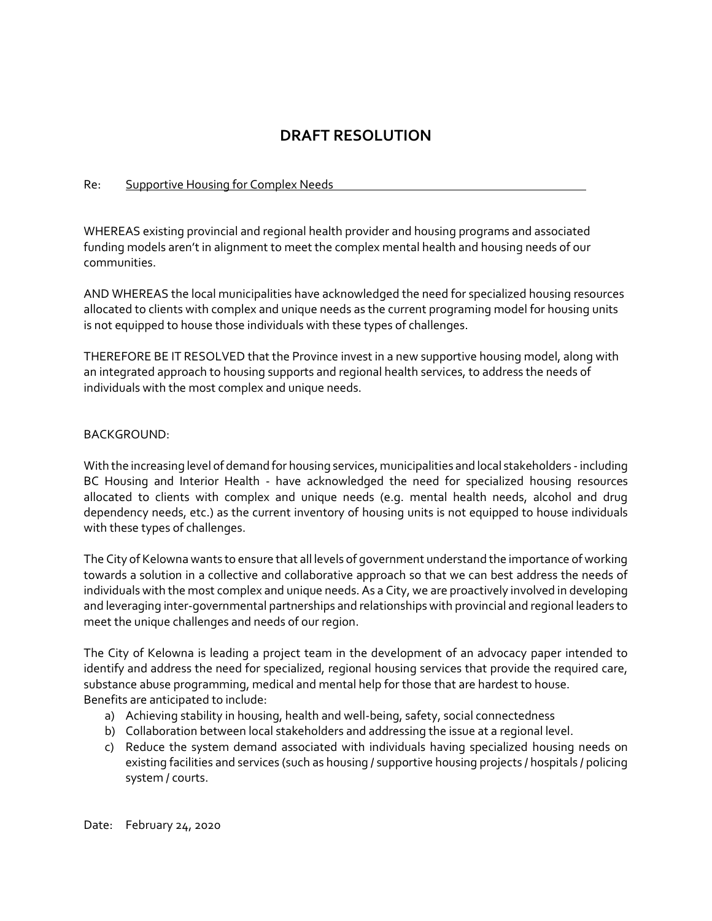# **DRAFT RESOLUTION**

## Re: Supportive Housing for Complex Needs

WHEREAS existing provincial and regional health provider and housing programs and associated funding models aren't in alignment to meet the complex mental health and housing needs of our communities.

AND WHEREAS the local municipalities have acknowledged the need for specialized housing resources allocated to clients with complex and unique needs as the current programing model for housing units is not equipped to house those individuals with these types of challenges.

THEREFORE BE IT RESOLVED that the Province invest in a new supportive housing model, along with an integrated approach to housing supports and regional health services, to address the needs of individuals with the most complex and unique needs.

## BACKGROUND:

With the increasing level of demand for housing services, municipalities and local stakeholders -including BC Housing and Interior Health - have acknowledged the need for specialized housing resources allocated to clients with complex and unique needs (e.g. mental health needs, alcohol and drug dependency needs, etc.) as the current inventory of housing units is not equipped to house individuals with these types of challenges.

The City of Kelowna wants to ensure that all levels of government understand the importance of working towards a solution in a collective and collaborative approach so that we can best address the needs of individuals with the most complex and unique needs. As a City, we are proactively involved in developing and leveraging inter-governmental partnerships and relationships with provincial and regional leaders to meet the unique challenges and needs of our region.

The City of Kelowna is leading a project team in the development of an advocacy paper intended to identify and address the need for specialized, regional housing services that provide the required care, substance abuse programming, medical and mental help for those that are hardest to house. Benefits are anticipated to include:

- a) Achieving stability in housing, health and well-being, safety, social connectedness
- b) Collaboration between local stakeholders and addressing the issue at a regional level.
- c) Reduce the system demand associated with individuals having specialized housing needs on existing facilities and services (such as housing / supportive housing projects / hospitals / policing system / courts.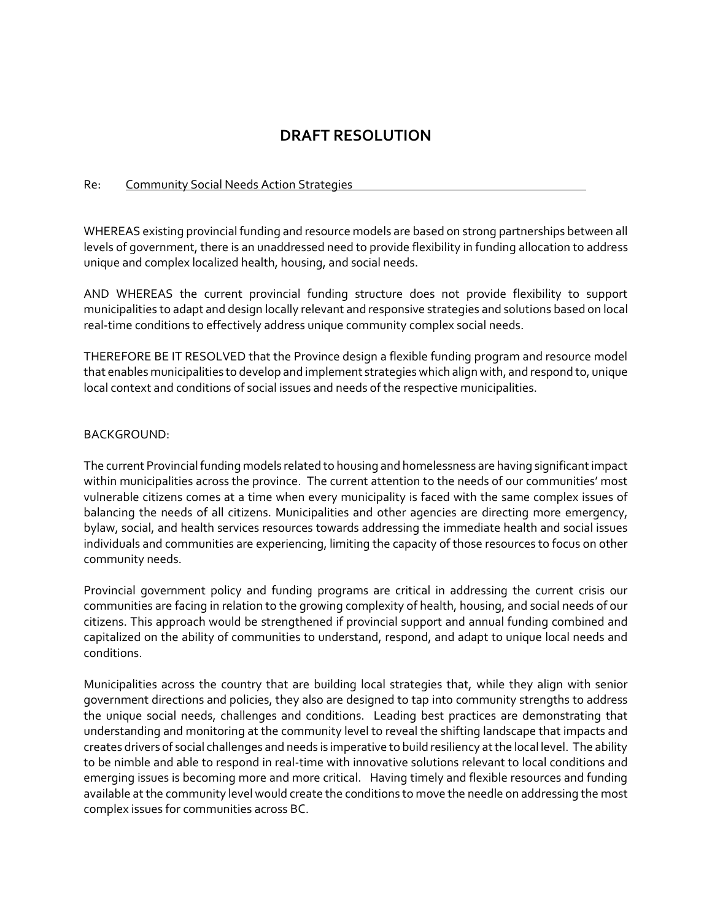# **DRAFT RESOLUTION**

#### Re: Community Social Needs Action Strategies

WHEREAS existing provincial funding and resource models are based on strong partnerships between all levels of government, there is an unaddressed need to provide flexibility in funding allocation to address unique and complex localized health, housing, and social needs.

AND WHEREAS the current provincial funding structure does not provide flexibility to support municipalities to adapt and design locally relevant and responsive strategies and solutions based on local real-time conditions to effectively address unique community complex social needs.

THEREFORE BE IT RESOLVED that the Province design a flexible funding program and resource model that enables municipalities to develop and implement strategies which align with, and respond to, unique local context and conditions of social issues and needs of the respective municipalities.

## BACKGROUND:

The current Provincial funding models related to housing and homelessness are having significant impact within municipalities across the province. The current attention to the needs of our communities' most vulnerable citizens comes at a time when every municipality is faced with the same complex issues of balancing the needs of all citizens. Municipalities and other agencies are directing more emergency, bylaw, social, and health services resources towards addressing the immediate health and social issues individuals and communities are experiencing, limiting the capacity of those resources to focus on other community needs.

Provincial government policy and funding programs are critical in addressing the current crisis our communities are facing in relation to the growing complexity of health, housing, and social needs of our citizens. This approach would be strengthened if provincial support and annual funding combined and capitalized on the ability of communities to understand, respond, and adapt to unique local needs and conditions.

Municipalities across the country that are building local strategies that, while they align with senior government directions and policies, they also are designed to tap into community strengths to address the unique social needs, challenges and conditions. Leading best practices are demonstrating that understanding and monitoring at the community level to reveal the shifting landscape that impacts and creates drivers of social challenges and needs is imperative to build resiliency at the local level. The ability to be nimble and able to respond in real-time with innovative solutions relevant to local conditions and emerging issues is becoming more and more critical. Having timely and flexible resources and funding available at the community level would create the conditions to move the needle on addressing the most complex issues for communities across BC.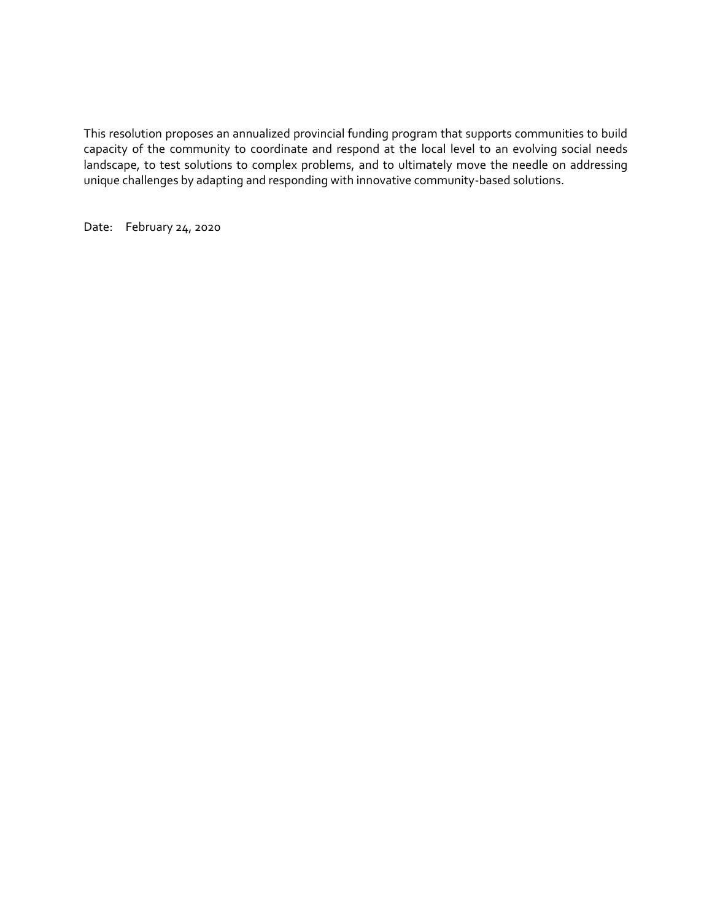This resolution proposes an annualized provincial funding program that supports communities to build capacity of the community to coordinate and respond at the local level to an evolving social needs landscape, to test solutions to complex problems, and to ultimately move the needle on addressing unique challenges by adapting and responding with innovative community-based solutions.

Date: February 24, 2020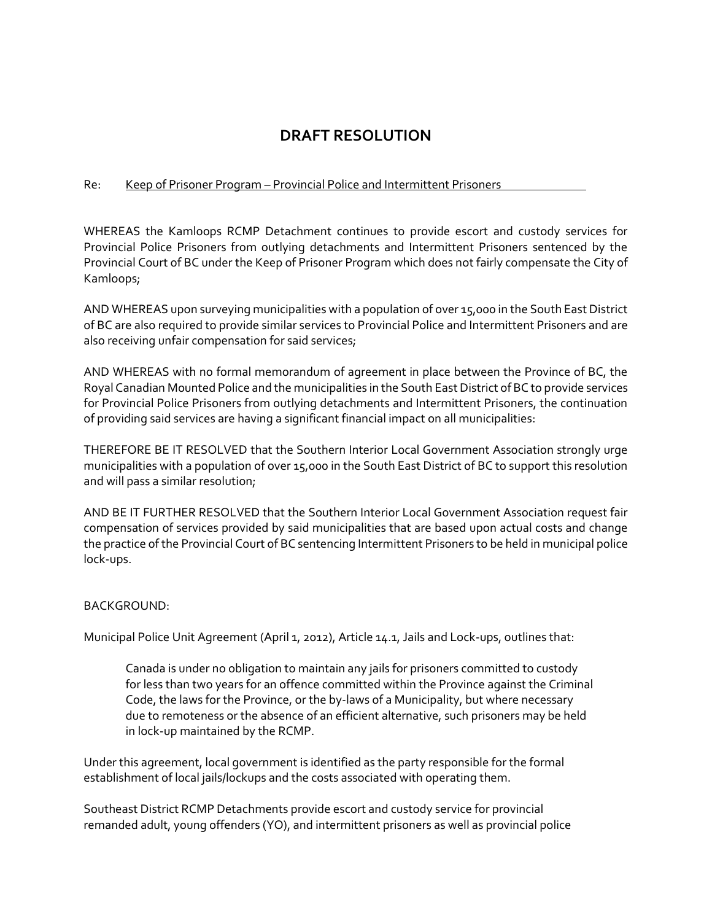# **DRAFT RESOLUTION**

# Re: Keep of Prisoner Program – Provincial Police and Intermittent Prisoners

WHEREAS the Kamloops RCMP Detachment continues to provide escort and custody services for Provincial Police Prisoners from outlying detachments and Intermittent Prisoners sentenced by the Provincial Court of BC under the Keep of Prisoner Program which does not fairly compensate the City of Kamloops;

AND WHEREAS upon surveying municipalities with a population of over 15,000 in the South East District of BC are also required to provide similar services to Provincial Police and Intermittent Prisoners and are also receiving unfair compensation for said services;

AND WHEREAS with no formal memorandum of agreement in place between the Province of BC, the Royal Canadian Mounted Police and the municipalities in the South East District of BC to provide services for Provincial Police Prisoners from outlying detachments and Intermittent Prisoners, the continuation of providing said services are having a significant financial impact on all municipalities:

THEREFORE BE IT RESOLVED that the Southern Interior Local Government Association strongly urge municipalities with a population of over 15,000 in the South East District of BC to support this resolution and will pass a similar resolution;

AND BE IT FURTHER RESOLVED that the Southern Interior Local Government Association request fair compensation of services provided by said municipalities that are based upon actual costs and change the practice of the Provincial Court of BC sentencing Intermittent Prisoners to be held in municipal police lock-ups.

#### BACKGROUND:

Municipal Police Unit Agreement (April 1, 2012), Article 14.1, Jails and Lock-ups, outlines that:

Canada is under no obligation to maintain any jails for prisoners committed to custody for less than two years for an offence committed within the Province against the Criminal Code, the laws for the Province, or the by-laws of a Municipality, but where necessary due to remoteness or the absence of an efficient alternative, such prisoners may be held in lock-up maintained by the RCMP.

Under this agreement, local government is identified as the party responsible for the formal establishment of local jails/lockups and the costs associated with operating them.

Southeast District RCMP Detachments provide escort and custody service for provincial remanded adult, young offenders (YO), and intermittent prisoners as well as provincial police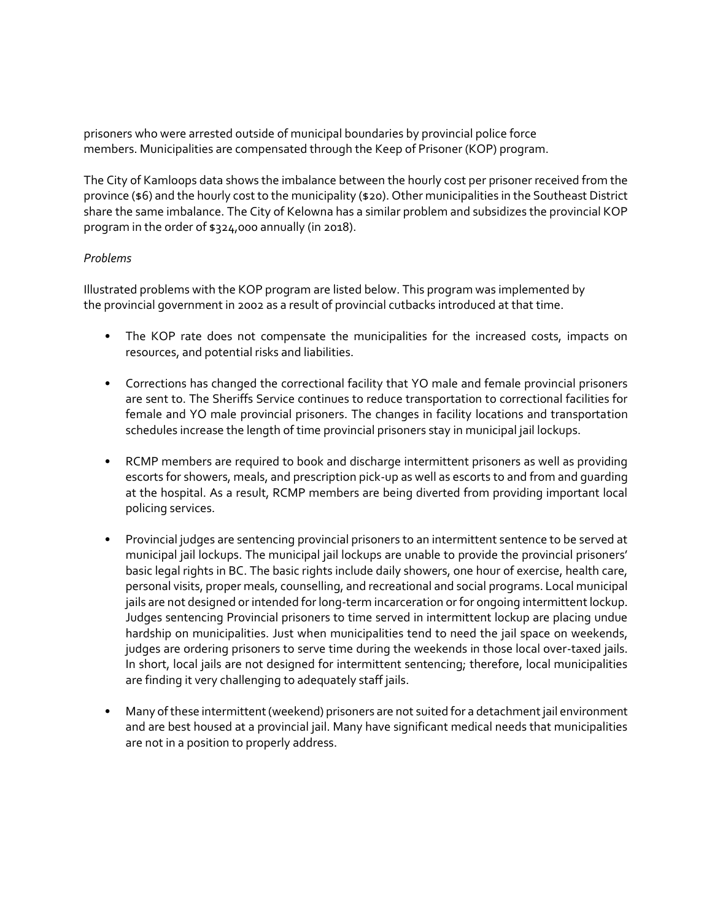prisoners who were arrested outside of municipal boundaries by provincial police force members. Municipalities are compensated through the Keep of Prisoner (KOP) program.

The City of Kamloops data shows the imbalance between the hourly cost per prisoner received from the province (\$6) and the hourly cost to the municipality (\$20). Other municipalities in the Southeast District share the same imbalance. The City of Kelowna has a similar problem and subsidizes the provincial KOP program in the order of \$324,000 annually (in 2018).

## *Problems*

Illustrated problems with the KOP program are listed below. This program was implemented by the provincial government in 2002 as a result of provincial cutbacks introduced at that time.

- The KOP rate does not compensate the municipalities for the increased costs, impacts on resources, and potential risks and liabilities.
- Corrections has changed the correctional facility that YO male and female provincial prisoners are sent to. The Sheriffs Service continues to reduce transportation to correctional facilities for female and YO male provincial prisoners. The changes in facility locations and transportation schedules increase the length of time provincial prisoners stay in municipal jail lockups.
- RCMP members are required to book and discharge intermittent prisoners as well as providing escorts for showers, meals, and prescription pick-up as well as escorts to and from and guarding at the hospital. As a result, RCMP members are being diverted from providing important local policing services.
- Provincial judges are sentencing provincial prisoners to an intermittent sentence to be served at municipal jail lockups. The municipal jail lockups are unable to provide the provincial prisoners' basic legal rights in BC. The basic rights include daily showers, one hour of exercise, health care, personal visits, proper meals, counselling, and recreational and social programs. Local municipal jails are not designed or intended for long-term incarceration or for ongoing intermittent lockup. Judges sentencing Provincial prisoners to time served in intermittent lockup are placing undue hardship on municipalities. Just when municipalities tend to need the jail space on weekends, judges are ordering prisoners to serve time during the weekends in those local over-taxed jails. In short, local jails are not designed for intermittent sentencing; therefore, local municipalities are finding it very challenging to adequately staff jails.
- Many of these intermittent (weekend) prisoners are not suited for a detachment jail environment and are best housed at a provincial jail. Many have significant medical needs that municipalities are not in a position to properly address.